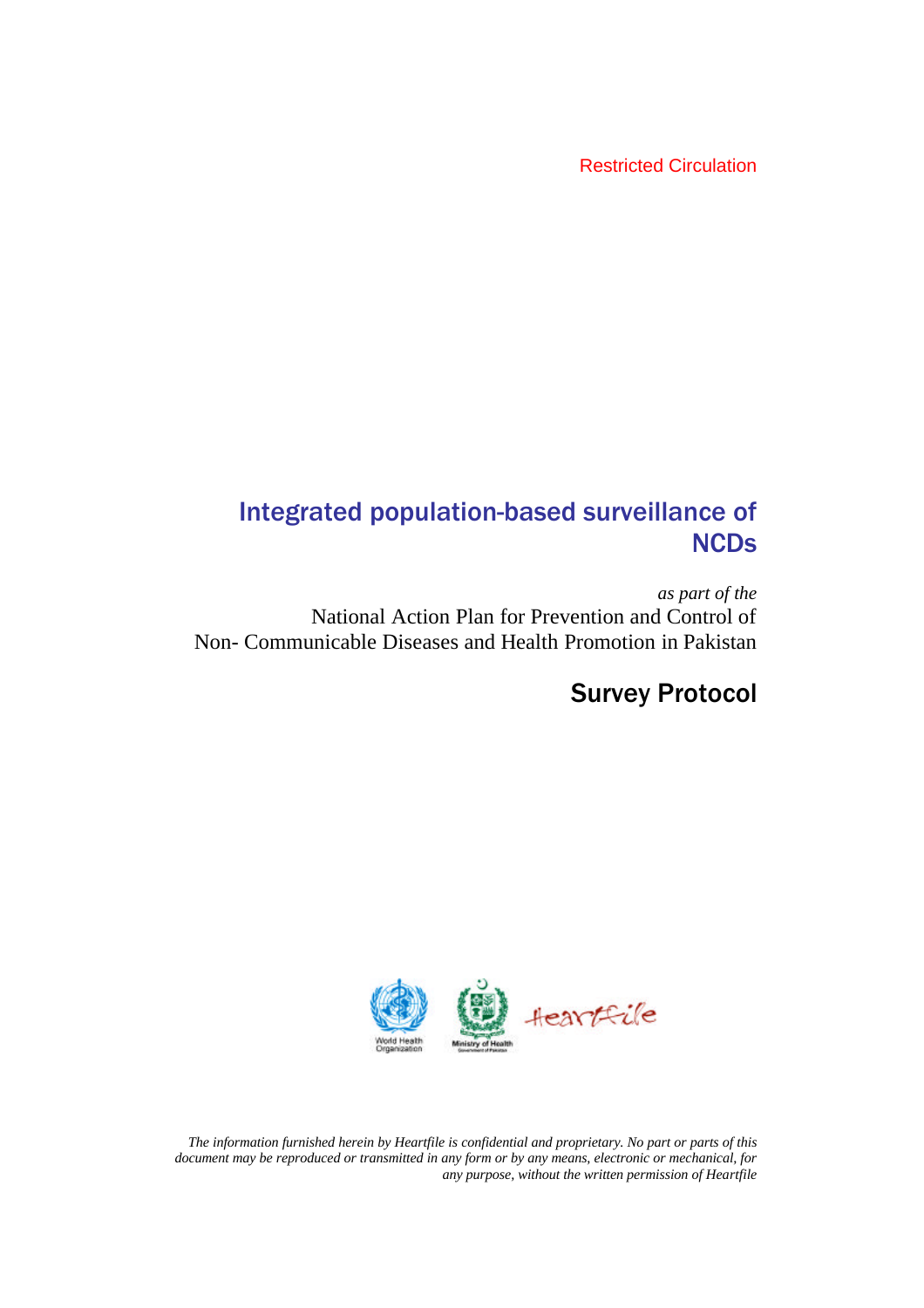Restricted Circulation

# Integrated population-based surveillance of **NCDs**

*as part of the* National Action Plan for Prevention and Control of Non- Communicable Diseases and Health Promotion in Pakistan

# Survey Protocol



*The information furnished herein by Heartfile is confidential and proprietary. No part or parts of this document may be reproduced or transmitted in any form or by any means, electronic or mechanical, for any purpose, without the written permission of Heartfile*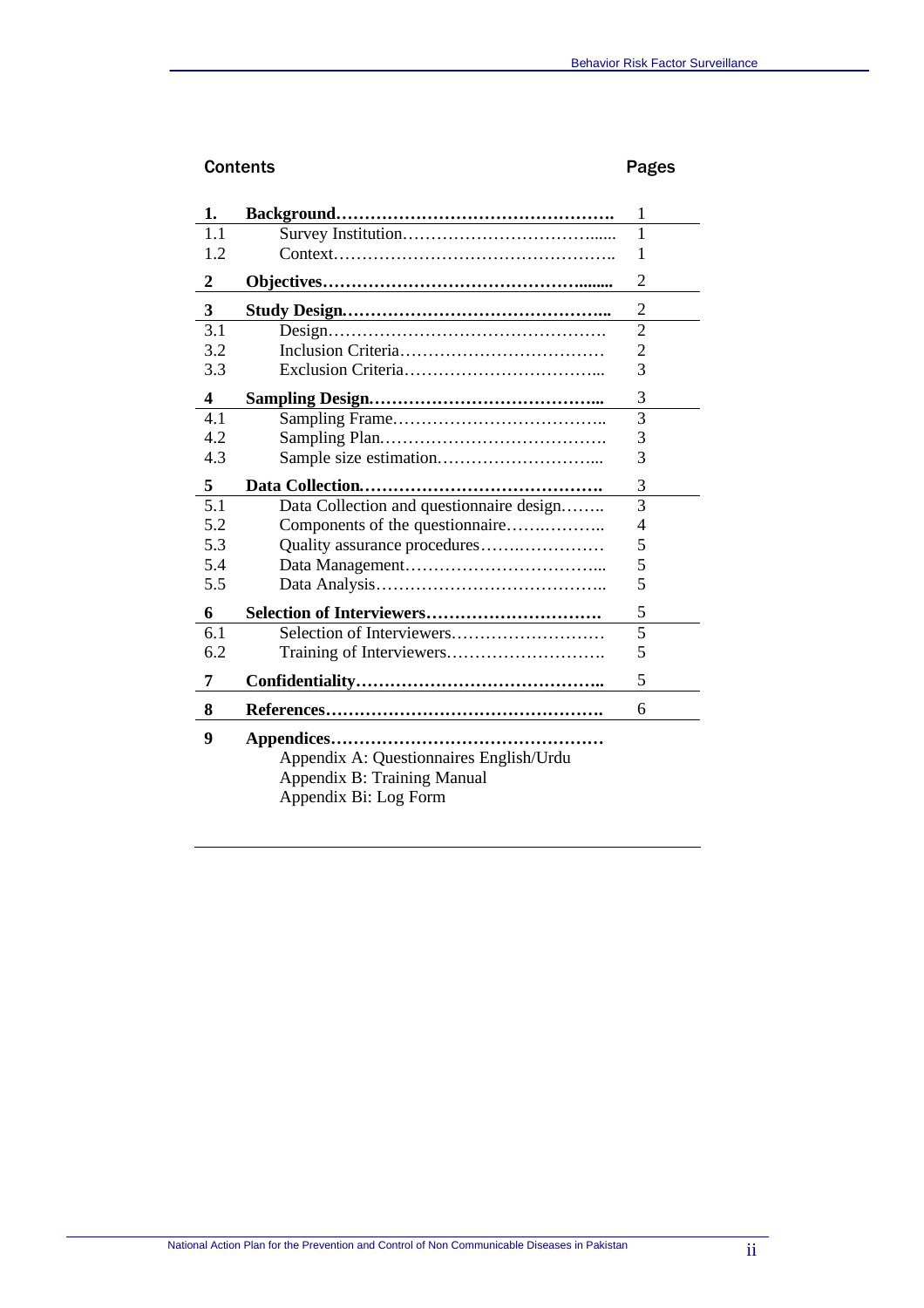# Contents **Pages**

| 1.               |                                                                                                 | 1              |
|------------------|-------------------------------------------------------------------------------------------------|----------------|
| 1.1              |                                                                                                 | 1              |
| 1.2              |                                                                                                 | 1              |
| $\overline{2}$   |                                                                                                 | $\overline{2}$ |
| 3                |                                                                                                 | $\overline{c}$ |
| 3.1              |                                                                                                 | $\overline{c}$ |
| 3.2              |                                                                                                 | $\overline{2}$ |
| 3.3              |                                                                                                 | $\overline{3}$ |
| $\boldsymbol{4}$ |                                                                                                 | 3              |
| 4.1              |                                                                                                 | $\overline{3}$ |
| 4.2              |                                                                                                 | 3              |
| 4.3              |                                                                                                 | 3              |
| 5                |                                                                                                 | 3              |
| 5.1              | Data Collection and questionnaire design                                                        | 3              |
| 5.2              | Components of the questionnaire                                                                 | 4              |
| 5.3              | Quality assurance procedures                                                                    | 5              |
| 5.4              |                                                                                                 | 5              |
| 5.5              |                                                                                                 | 5              |
| 6                | Selection of Interviewers                                                                       | 5              |
| 6.1              |                                                                                                 | $\overline{5}$ |
| 6.2              |                                                                                                 | 5              |
| 7                |                                                                                                 | 5              |
| 8                |                                                                                                 | 6              |
| 9                | Appendix A: Questionnaires English/Urdu<br>Appendix B: Training Manual<br>Appendix Bi: Log Form |                |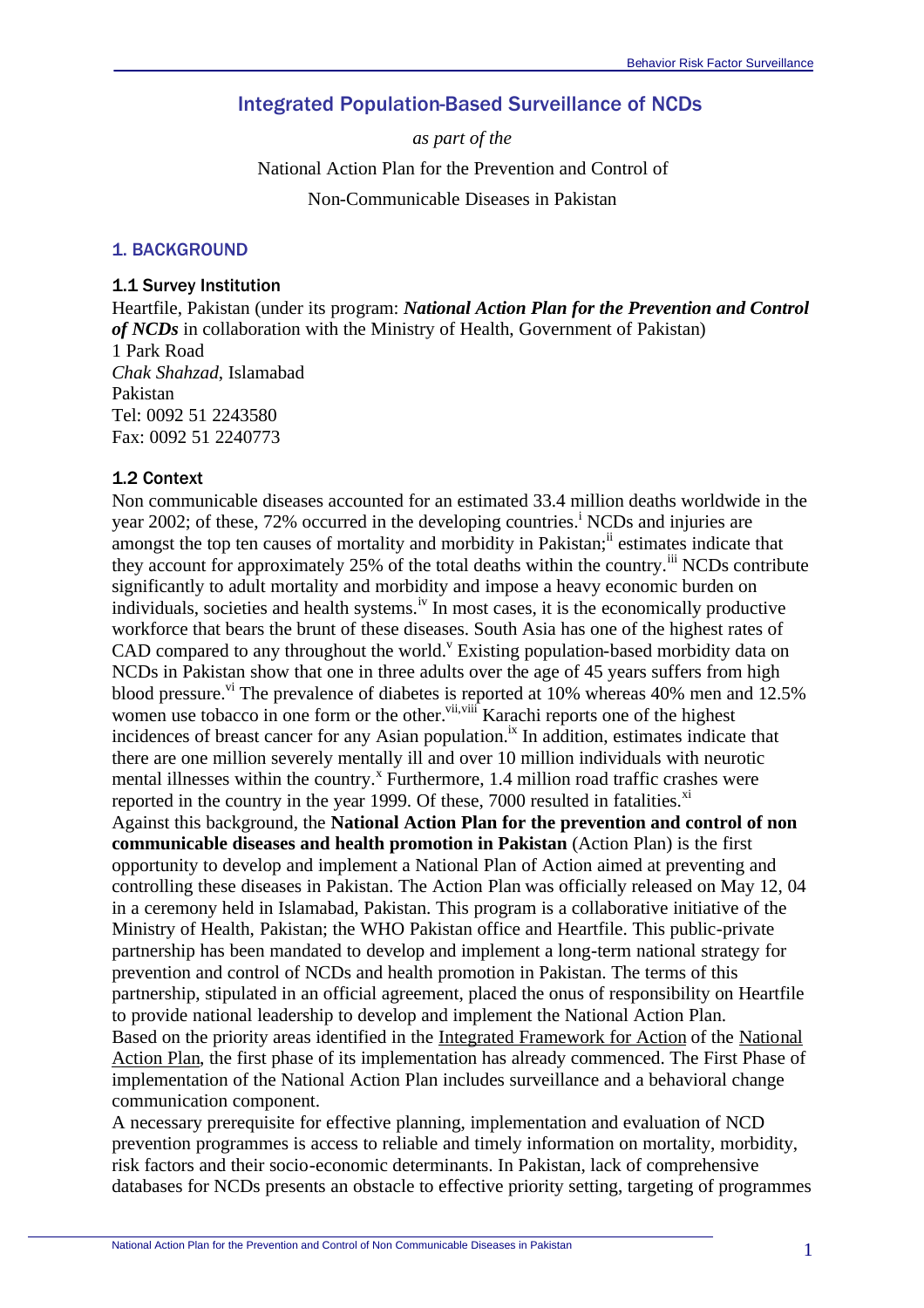# Integrated Population-Based Surveillance of NCDs

*as part of the* National Action Plan for the Prevention and Control of Non-Communicable Diseases in Pakistan

#### 1. BACKGROUND

#### 1.1 Survey Institution

Heartfile, Pakistan (under its program: *National Action Plan for the Prevention and Control of NCDs* in collaboration with the Ministry of Health, Government of Pakistan) 1 Park Road *Chak Shahzad*, Islamabad Pakistan Tel: 0092 51 2243580 Fax: 0092 51 2240773

#### 1.2 Context

Non communicable diseases accounted for an estimated 33.4 million deaths worldwide in the year 2002; of these, 72% occurred in the developing countries.<sup>i</sup> NCDs and injuries are amongst the top ten causes of mortality and morbidity in Pakistan;<sup>ii</sup> estimates indicate that they account for approximately 25% of the total deaths within the country.<sup>iii</sup> NCDs contribute significantly to adult mortality and morbidity and impose a heavy economic burden on individuals, societies and health systems.<sup>iv</sup> In most cases, it is the economically productive workforce that bears the brunt of these diseases. South Asia has one of the highest rates of CAD compared to any throughout the world.<sup>v</sup> Existing population-based morbidity data on NCDs in Pakistan show that one in three adults over the age of 45 years suffers from high blood pressure.<sup>vi</sup> The prevalence of diabetes is reported at  $10\%$  whereas 40% men and  $12.5\%$ women use tobacco in one form or the other.<sup>vii,viii</sup> Karachi reports one of the highest incidences of breast cancer for any Asian population.<sup>ix</sup> In addition, estimates indicate that there are one million severely mentally ill and over 10 million individuals with neurotic mental illnesses within the country.<sup>x</sup> Furthermore, 1.4 million road traffic crashes were reported in the country in the year 1999. Of these,  $7000$  resulted in fatalities.<sup>xi</sup> Against this background, the **National Action Plan for the prevention and control of non communicable diseases and health promotion in Pakistan** (Action Plan) is the first opportunity to develop and implement a National Plan of Action aimed at preventing and controlling these diseases in Pakistan. The Action Plan was officially released on May 12, 04 in a ceremony held in Islamabad, Pakistan. This program is a collaborative initiative of the Ministry of Health, Pakistan; the WHO Pakistan office and Heartfile. This public-private partnership has been mandated to develop and implement a long-term national strategy for prevention and control of NCDs and health promotion in Pakistan. The terms of this partnership, stipulated in an official agreement, placed the onus of responsibility on Heartfile to provide national leadership to develop and implement the National Action Plan. Based on the priority areas identified in the Integrated Framework for Action of the National Action Plan, the first phase of its implementation has already commenced. The First Phase of implementation of the National Action Plan includes surveillance and a behavioral change communication component.

A necessary prerequisite for effective planning, implementation and evaluation of NCD prevention programmes is access to reliable and timely information on mortality, morbidity, risk factors and their socio-economic determinants. In Pakistan, lack of comprehensive databases for NCDs presents an obstacle to effective priority setting, targeting of programmes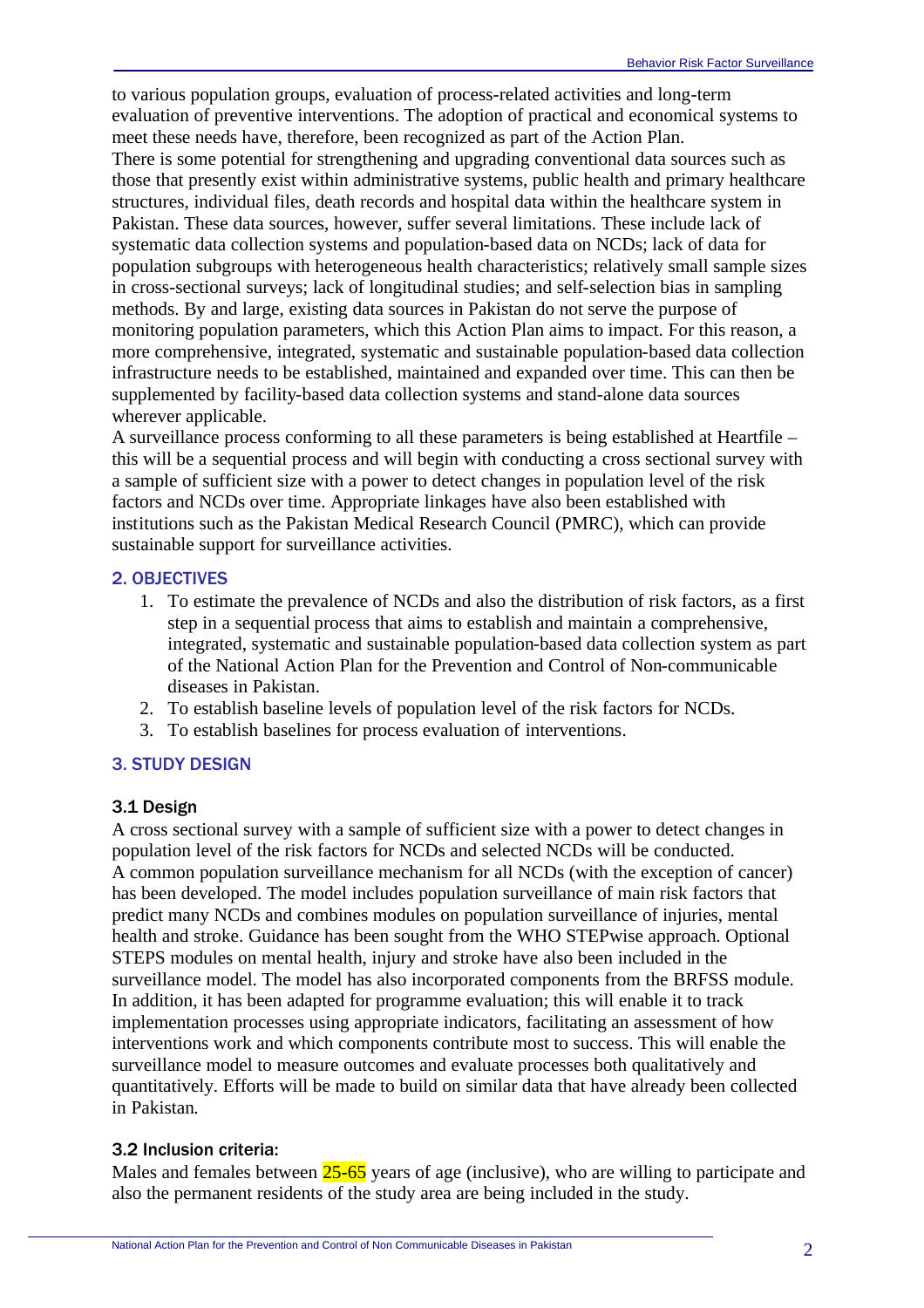to various population groups, evaluation of process-related activities and long-term evaluation of preventive interventions. The adoption of practical and economical systems to meet these needs have, therefore, been recognized as part of the Action Plan.

There is some potential for strengthening and upgrading conventional data sources such as those that presently exist within administrative systems, public health and primary healthcare structures, individual files, death records and hospital data within the healthcare system in Pakistan. These data sources, however, suffer several limitations. These include lack of systematic data collection systems and population-based data on NCDs; lack of data for population subgroups with heterogeneous health characteristics; relatively small sample sizes in cross-sectional surveys; lack of longitudinal studies; and self-selection bias in sampling methods. By and large, existing data sources in Pakistan do not serve the purpose of monitoring population parameters, which this Action Plan aims to impact. For this reason, a more comprehensive, integrated, systematic and sustainable population-based data collection infrastructure needs to be established, maintained and expanded over time. This can then be supplemented by facility-based data collection systems and stand-alone data sources wherever applicable.

A surveillance process conforming to all these parameters is being established at Heartfile – this will be a sequential process and will begin with conducting a cross sectional survey with a sample of sufficient size with a power to detect changes in population level of the risk factors and NCDs over time. Appropriate linkages have also been established with institutions such as the Pakistan Medical Research Council (PMRC), which can provide sustainable support for surveillance activities.

#### 2. OBJECTIVES

- 1. To estimate the prevalence of NCDs and also the distribution of risk factors, as a first step in a sequential process that aims to establish and maintain a comprehensive, integrated, systematic and sustainable population-based data collection system as part of the National Action Plan for the Prevention and Control of Non-communicable diseases in Pakistan.
- 2. To establish baseline levels of population level of the risk factors for NCDs.
- 3. To establish baselines for process evaluation of interventions.

#### 3. STUDY DESIGN

#### 3.1 Design

A cross sectional survey with a sample of sufficient size with a power to detect changes in population level of the risk factors for NCDs and selected NCDs will be conducted. A common population surveillance mechanism for all NCDs (with the exception of cancer) has been developed. The model includes population surveillance of main risk factors that predict many NCDs and combines modules on population surveillance of injuries, mental health and stroke. Guidance has been sought from the WHO STEPwise approach. Optional STEPS modules on mental health, injury and stroke have also been included in the surveillance model. The model has also incorporated components from the BRFSS module. In addition, it has been adapted for programme evaluation; this will enable it to track implementation processes using appropriate indicators, facilitating an assessment of how interventions work and which components contribute most to success. This will enable the surveillance model to measure outcomes and evaluate processes both qualitatively and quantitatively. Efforts will be made to build on similar data that have already been collected in Pakistan.

#### 3.2 Inclusion criteria:

Males and females between 25-65 years of age (inclusive), who are willing to participate and also the permanent residents of the study area are being included in the study.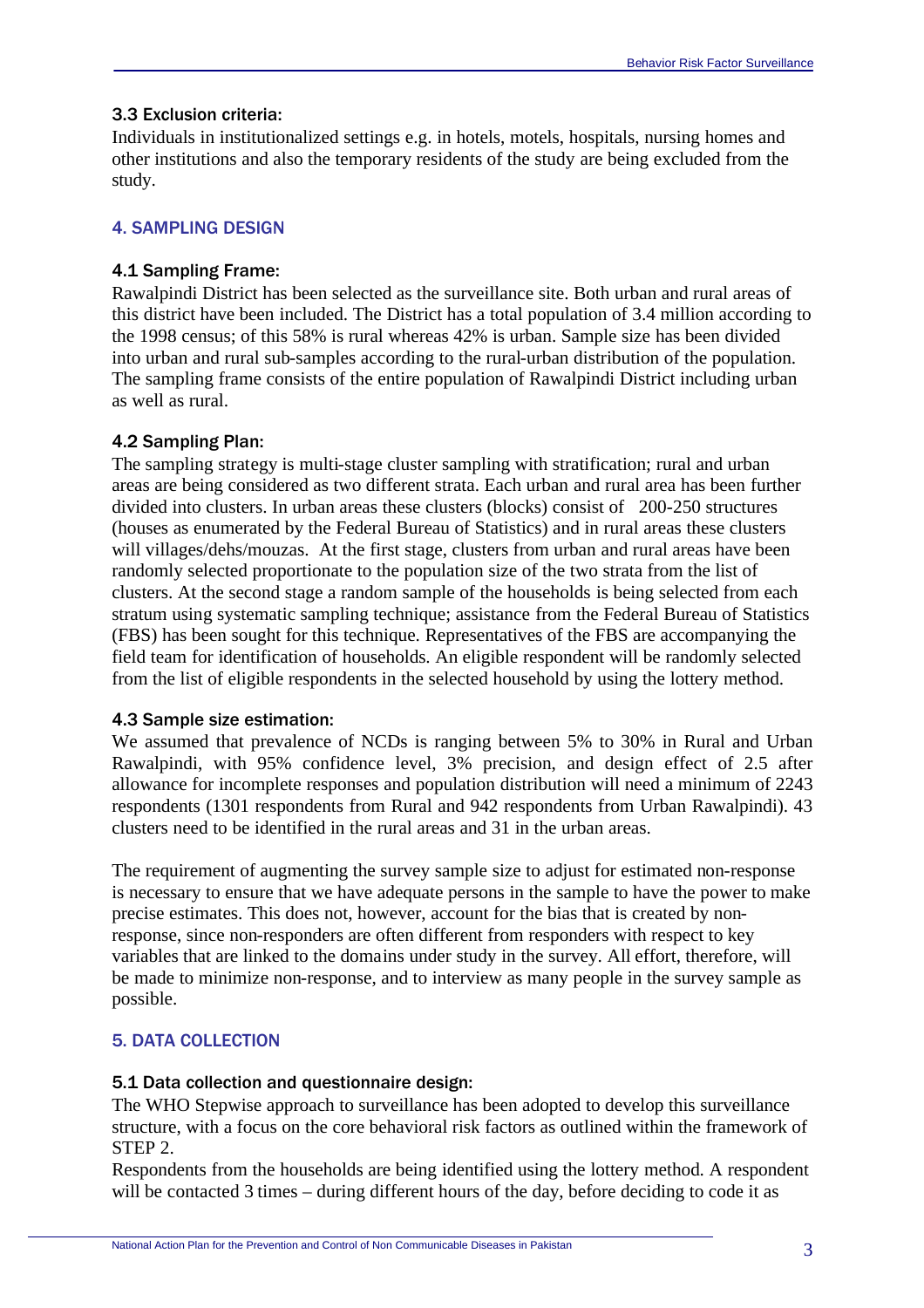## 3.3 Exclusion criteria:

Individuals in institutionalized settings e.g. in hotels, motels, hospitals, nursing homes and other institutions and also the temporary residents of the study are being excluded from the study.

# 4. SAMPLING DESIGN

## 4.1 Sampling Frame:

Rawalpindi District has been selected as the surveillance site. Both urban and rural areas of this district have been included. The District has a total population of 3.4 million according to the 1998 census; of this 58% is rural whereas 42% is urban. Sample size has been divided into urban and rural sub-samples according to the rural-urban distribution of the population. The sampling frame consists of the entire population of Rawalpindi District including urban as well as rural.

## 4.2 Sampling Plan:

The sampling strategy is multi-stage cluster sampling with stratification; rural and urban areas are being considered as two different strata. Each urban and rural area has been further divided into clusters. In urban areas these clusters (blocks) consist of 200-250 structures (houses as enumerated by the Federal Bureau of Statistics) and in rural areas these clusters will villages/dehs/mouzas. At the first stage, clusters from urban and rural areas have been randomly selected proportionate to the population size of the two strata from the list of clusters. At the second stage a random sample of the households is being selected from each stratum using systematic sampling technique; assistance from the Federal Bureau of Statistics (FBS) has been sought for this technique. Representatives of the FBS are accompanying the field team for identification of households. An eligible respondent will be randomly selected from the list of eligible respondents in the selected household by using the lottery method.

#### 4.3 Sample size estimation:

We assumed that prevalence of NCDs is ranging between 5% to 30% in Rural and Urban Rawalpindi, with 95% confidence level, 3% precision, and design effect of 2.5 after allowance for incomplete responses and population distribution will need a minimum of 2243 respondents (1301 respondents from Rural and 942 respondents from Urban Rawalpindi). 43 clusters need to be identified in the rural areas and 31 in the urban areas.

The requirement of augmenting the survey sample size to adjust for estimated non-response is necessary to ensure that we have adequate persons in the sample to have the power to make precise estimates. This does not, however, account for the bias that is created by nonresponse, since non-responders are often different from responders with respect to key variables that are linked to the domains under study in the survey. All effort, therefore, will be made to minimize non-response, and to interview as many people in the survey sample as possible.

# 5. DATA COLLECTION

#### 5.1 Data collection and questionnaire design:

The WHO Stepwise approach to surveillance has been adopted to develop this surveillance structure, with a focus on the core behavioral risk factors as outlined within the framework of STEP 2.

Respondents from the households are being identified using the lottery method. A respondent will be contacted 3 times – during different hours of the day, before deciding to code it as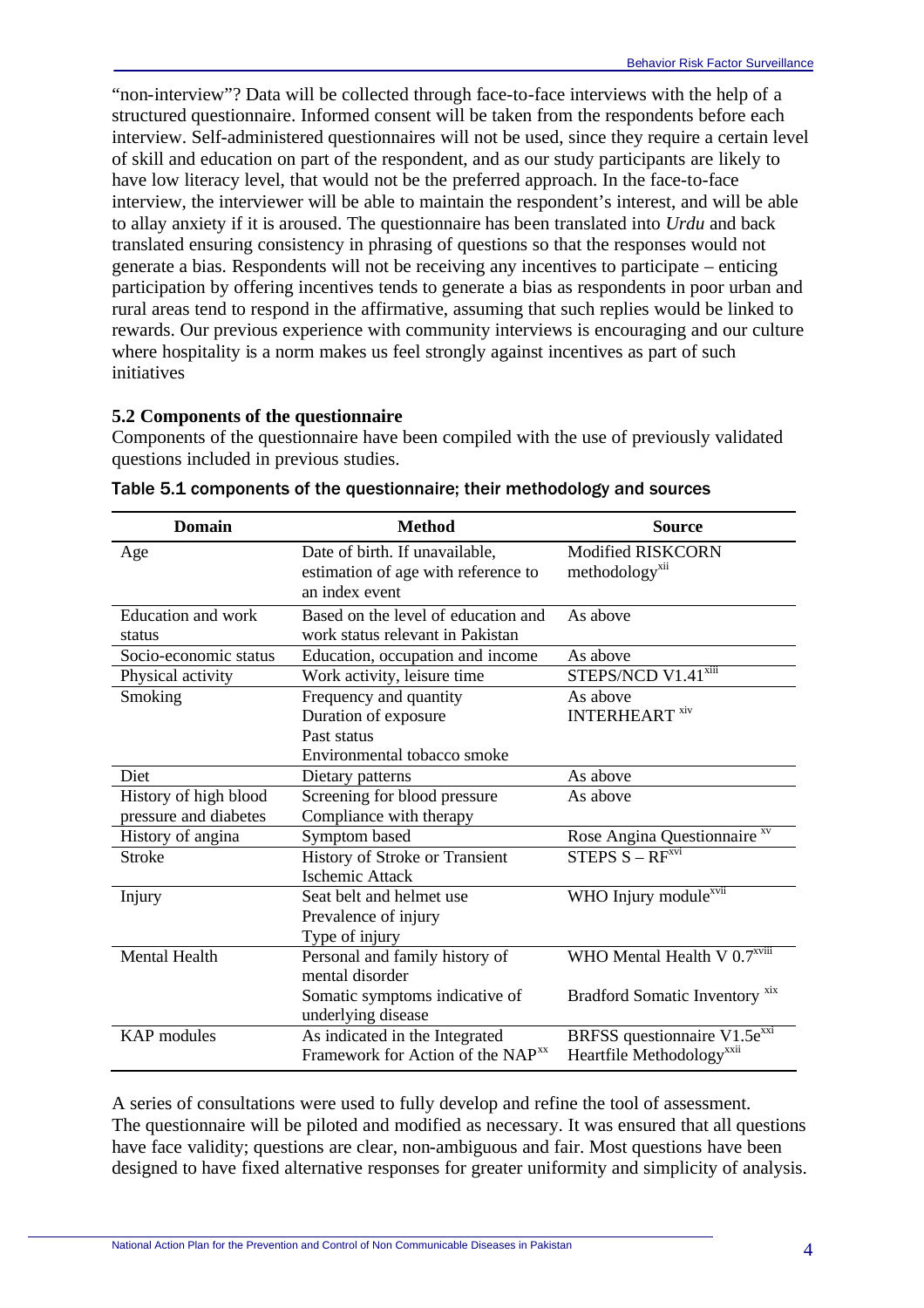"non-interview"? Data will be collected through face-to-face interviews with the help of a structured questionnaire. Informed consent will be taken from the respondents before each interview. Self-administered questionnaires will not be used, since they require a certain level of skill and education on part of the respondent, and as our study participants are likely to have low literacy level, that would not be the preferred approach. In the face-to-face interview, the interviewer will be able to maintain the respondent's interest, and will be able to allay anxiety if it is aroused. The questionnaire has been translated into *Urdu* and back translated ensuring consistency in phrasing of questions so that the responses would not generate a bias. Respondents will not be receiving any incentives to participate – enticing participation by offering incentives tends to generate a bias as respondents in poor urban and rural areas tend to respond in the affirmative, assuming that such replies would be linked to rewards. Our previous experience with community interviews is encouraging and our culture where hospitality is a norm makes us feel strongly against incentives as part of such initiatives

## **5.2 Components of the questionnaire**

Components of the questionnaire have been compiled with the use of previously validated questions included in previous studies.

| <b>Domain</b>         | <b>Method</b>                                 | <b>Source</b>                             |
|-----------------------|-----------------------------------------------|-------------------------------------------|
| Age                   | Date of birth. If unavailable,                | <b>Modified RISKCORN</b>                  |
|                       | estimation of age with reference to           | methodology <sup>xii</sup>                |
|                       | an index event                                |                                           |
| Education and work    | Based on the level of education and           | As above                                  |
| status                | work status relevant in Pakistan              |                                           |
| Socio-economic status | Education, occupation and income              | As above                                  |
| Physical activity     | Work activity, leisure time                   | STEPS/NCD V1.41 <sup>xiii</sup>           |
| Smoking               | Frequency and quantity                        | As above                                  |
|                       | Duration of exposure                          | <b>INTERHEART</b> xiv                     |
|                       | Past status                                   |                                           |
|                       | Environmental tobacco smoke                   |                                           |
| Diet                  | Dietary patterns                              | As above                                  |
| History of high blood | Screening for blood pressure                  | As above                                  |
| pressure and diabetes | Compliance with therapy                       |                                           |
| History of angina     | Symptom based                                 | Rose Angina Questionnaire <sup>xv</sup>   |
| <b>Stroke</b>         | History of Stroke or Transient                | $STEPS S - RFxvi$                         |
|                       | <b>Ischemic Attack</b>                        |                                           |
| Injury                | Seat belt and helmet use                      | WHO Injury module <sup>xvii</sup>         |
|                       | Prevalence of injury                          |                                           |
|                       | Type of injury                                |                                           |
| <b>Mental Health</b>  | Personal and family history of                | WHO Mental Health V $0.7^{xviii}$         |
|                       | mental disorder                               |                                           |
|                       | Somatic symptoms indicative of                | Bradford Somatic Inventory <sup>xix</sup> |
|                       | underlying disease                            |                                           |
| <b>KAP</b> modules    | As indicated in the Integrated                | BRFSS questionnaire V1.5e <sup>xxi</sup>  |
|                       | Framework for Action of the NAP <sup>xx</sup> | Heartfile Methodology <sup>xx11</sup>     |

| Table 5.1 components of the questionnaire; their methodology and sources |  |  |
|--------------------------------------------------------------------------|--|--|
|--------------------------------------------------------------------------|--|--|

A series of consultations were used to fully develop and refine the tool of assessment. The questionnaire will be piloted and modified as necessary. It was ensured that all questions have face validity; questions are clear, non-ambiguous and fair. Most questions have been designed to have fixed alternative responses for greater uniformity and simplicity of analysis.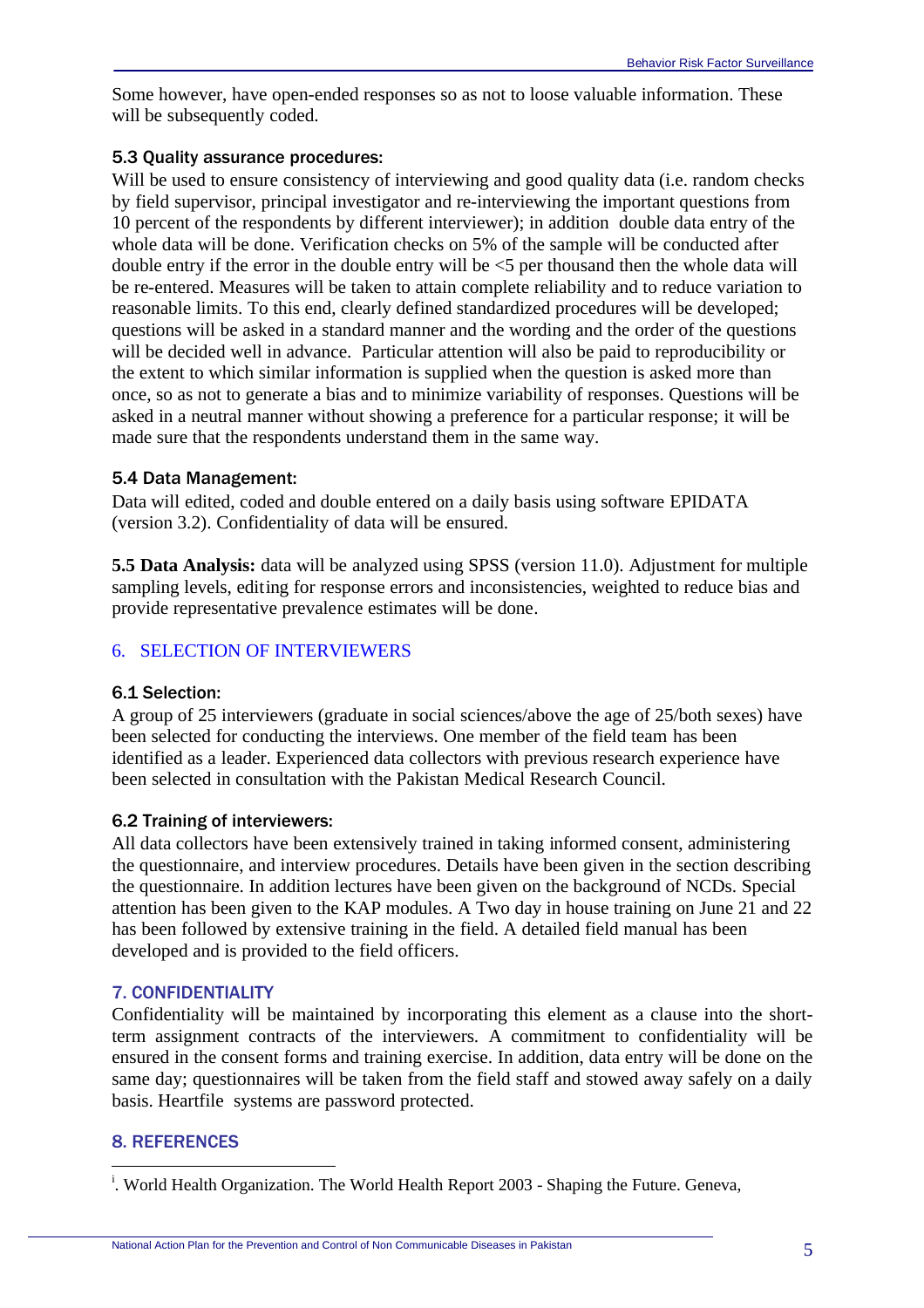Some however, have open-ended responses so as not to loose valuable information. These will be subsequently coded.

## 5.3 Quality assurance procedures:

Will be used to ensure consistency of interviewing and good quality data (i.e. random checks by field supervisor, principal investigator and re-interviewing the important questions from 10 percent of the respondents by different interviewer); in addition double data entry of the whole data will be done. Verification checks on 5% of the sample will be conducted after double entry if the error in the double entry will be <5 per thousand then the whole data will be re-entered. Measures will be taken to attain complete reliability and to reduce variation to reasonable limits. To this end, clearly defined standardized procedures will be developed; questions will be asked in a standard manner and the wording and the order of the questions will be decided well in advance. Particular attention will also be paid to reproducibility or the extent to which similar information is supplied when the question is asked more than once, so as not to generate a bias and to minimize variability of responses. Questions will be asked in a neutral manner without showing a preference for a particular response; it will be made sure that the respondents understand them in the same way.

## 5.4 Data Management:

Data will edited, coded and double entered on a daily basis using software EPIDATA (version 3.2). Confidentiality of data will be ensured.

**5.5 Data Analysis:** data will be analyzed using SPSS (version 11.0). Adjustment for multiple sampling levels, editing for response errors and inconsistencies, weighted to reduce bias and provide representative prevalence estimates will be done.

# 6.SELECTION OF INTERVIEWERS

#### 6.1 Selection:

A group of 25 interviewers (graduate in social sciences/above the age of 25/both sexes) have been selected for conducting the interviews. One member of the field team has been identified as a leader. Experienced data collectors with previous research experience have been selected in consultation with the Pakistan Medical Research Council.

# 6.2 Training of interviewers:

All data collectors have been extensively trained in taking informed consent, administering the questionnaire, and interview procedures. Details have been given in the section describing the questionnaire. In addition lectures have been given on the background of NCDs. Special attention has been given to the KAP modules. A Two day in house training on June 21 and 22 has been followed by extensive training in the field. A detailed field manual has been developed and is provided to the field officers.

# 7. CONFIDENTIALITY

Confidentiality will be maintained by incorporating this element as a clause into the shortterm assignment contracts of the interviewers. A commitment to confidentiality will be ensured in the consent forms and training exercise. In addition, data entry will be done on the same day; questionnaires will be taken from the field staff and stowed away safely on a daily basis. Heartfile systems are password protected.

# 8. REFERENCES

 $\overline{a}$ 

<sup>&</sup>lt;sup>i</sup>. World Health Organization. The World Health Report 2003 - Shaping the Future. Geneva,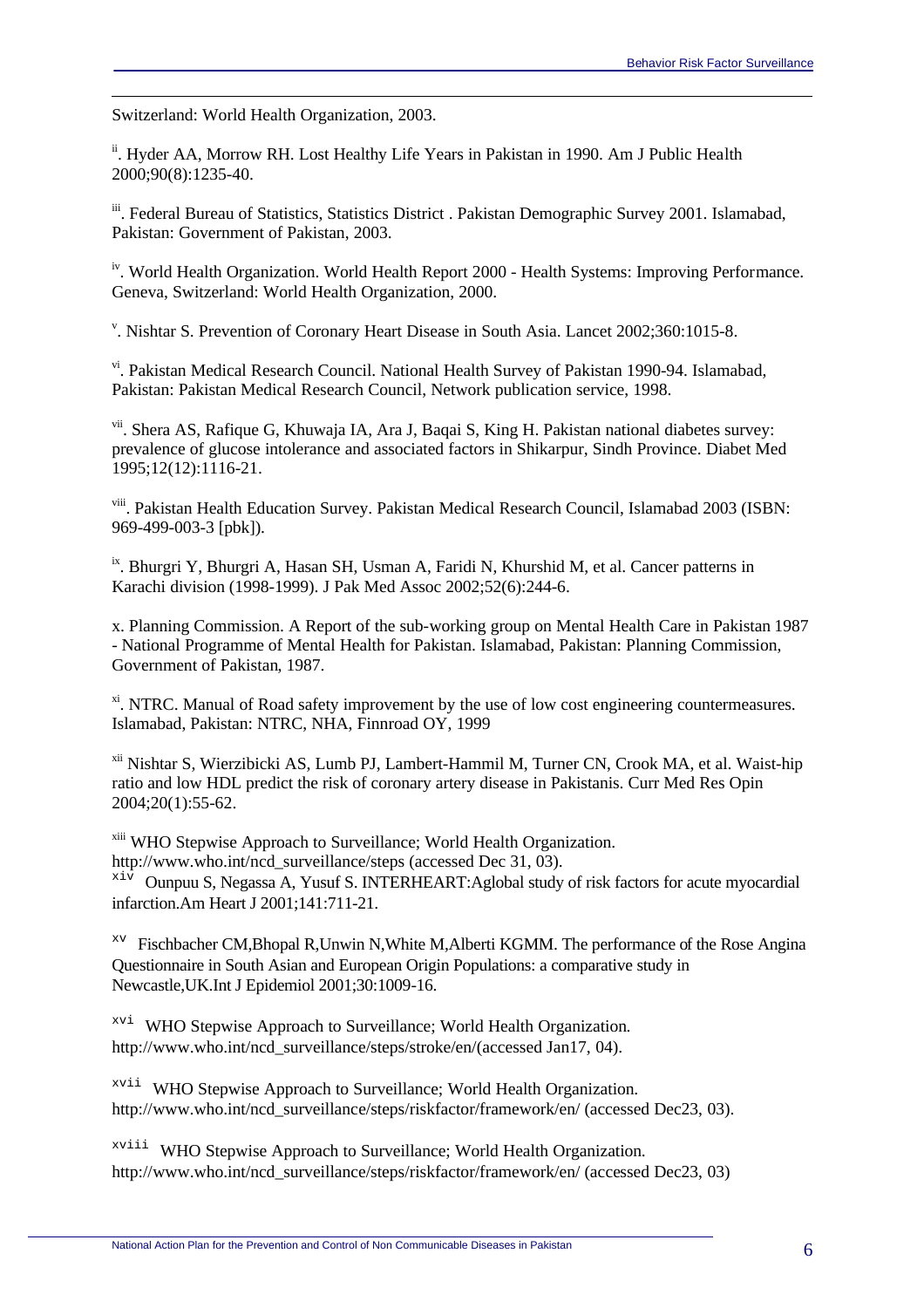Switzerland: World Health Organization, 2003.

 $\overline{a}$ 

<sup>ii</sup>. Hyder AA, Morrow RH. Lost Healthy Life Years in Pakistan in 1990. Am J Public Health 2000;90(8):1235-40.

iii. Federal Bureau of Statistics, Statistics District . Pakistan Demographic Survey 2001. Islamabad, Pakistan: Government of Pakistan, 2003.

<sup>iv</sup>. World Health Organization. World Health Report 2000 - Health Systems: Improving Performance. Geneva, Switzerland: World Health Organization, 2000.

v . Nishtar S. Prevention of Coronary Heart Disease in South Asia. Lancet 2002;360:1015-8.

vi. Pakistan Medical Research Council. National Health Survey of Pakistan 1990-94. Islamabad, Pakistan: Pakistan Medical Research Council, Network publication service, 1998.

<sup>vii</sup>. Shera AS, Rafique G, Khuwaja IA, Ara J, Baqai S, King H. Pakistan national diabetes survey: prevalence of glucose intolerance and associated factors in Shikarpur, Sindh Province. Diabet Med 1995;12(12):1116-21.

viii. Pakistan Health Education Survey. Pakistan Medical Research Council, Islamabad 2003 (ISBN: 969-499-003-3 [pbk]).

<sup>ix</sup>. Bhurgri Y, Bhurgri A, Hasan SH, Usman A, Faridi N, Khurshid M, et al. Cancer patterns in Karachi division (1998-1999). J Pak Med Assoc 2002;52(6):244-6.

x. Planning Commission. A Report of the sub-working group on Mental Health Care in Pakistan 1987 - National Programme of Mental Health for Pakistan. Islamabad, Pakistan: Planning Commission, Government of Pakistan, 1987.

<sup>xi</sup>. NTRC. Manual of Road safety improvement by the use of low cost engineering countermeasures. Islamabad, Pakistan: NTRC, NHA, Finnroad OY, 1999

xii Nishtar S, Wierzibicki AS, Lumb PJ, Lambert-Hammil M, Turner CN, Crook MA, et al. Waist-hip ratio and low HDL predict the risk of coronary artery disease in Pakistanis. Curr Med Res Opin 2004;20(1):55-62.

<sup>xiii</sup> WHO Stepwise Approach to Surveillance; World Health Organization. http://www.who.int/ncd\_surveillance/steps (accessed Dec 31, 03).  $\overline{x}$ <sup>iv</sup> Ounpuu S, Negassa A, Yusuf S. INTERHEART: Aglobal study of risk factors for acute myocardial infarction.Am Heart J 2001;141:711-21.

xv Fischbacher CM,Bhopal R,Unwin N,White M,Alberti KGMM. The performance of the Rose Angina Questionnaire in South Asian and European Origin Populations: a comparative study in Newcastle,UK.Int J Epidemiol 2001;30:1009-16.

xvi WHO Stepwise Approach to Surveillance; World Health Organization. http://www.who.int/ncd\_surveillance/steps/stroke/en/(accessed Jan17, 04).

xvii WHO Stepwise Approach to Surveillance; World Health Organization. http://www.who.int/ncd\_surveillance/steps/riskfactor/framework/en/ (accessed Dec23, 03).

xviii WHO Stepwise Approach to Surveillance; World Health Organization. http://www.who.int/ncd\_surveillance/steps/riskfactor/framework/en/ (accessed Dec23, 03)